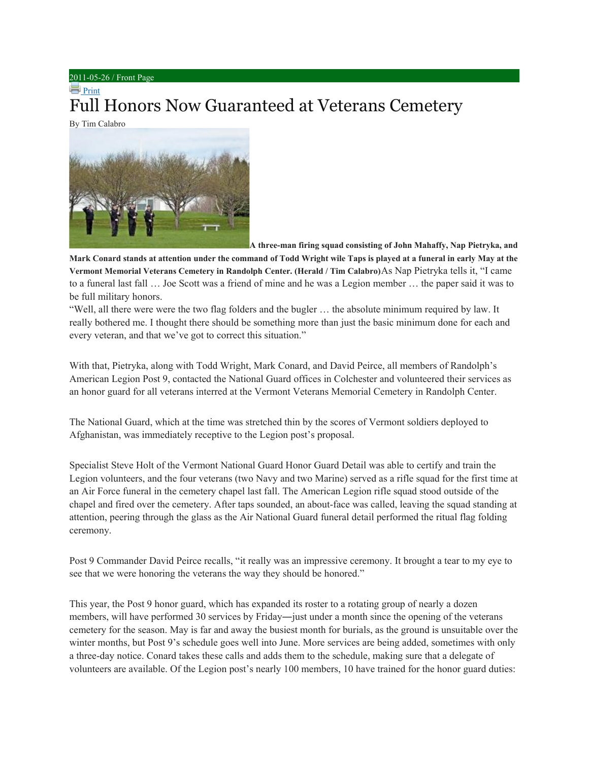## 2011-05-26 / Front Page

## **Print** Full Honors Now Guaranteed at Veterans Cemetery

[By Tim Calabro](http://www.ourherald.com/sites/www.ourherald.com/files/images/2011-05-26/f01p1_xlg.jpg)



**A three-man firing squad consisting of John Mahaffy, Nap Pietryka, and**

**Mark Conard stands at attention under the command of Todd Wright wile Taps is played at a funeral in early May at the Vermont Memorial Veterans Cemetery in Randolph Center. (Herald / Tim Calabro)**As Nap Pietryka tells it, "I came to a funeral last fall … Joe Scott was a friend of mine and he was a Legion member … the paper said it was to be full military honors.

"Well, all there were were the two flag folders and the bugler … the absolute minimum required by law. It really bothered me. I thought there should be something more than just the basic minimum done for each and every veteran, and that we've got to correct this situation."

With that, Pietryka, along with Todd Wright, Mark Conard, and David Peirce, all members of Randolph's American Legion Post 9, contacted the National Guard offices in Colchester and volunteered their services as an honor guard for all veterans interred at the Vermont Veterans Memorial Cemetery in Randolph Center.

The National Guard, which at the time was stretched thin by the scores of Vermont soldiers deployed to Afghanistan, was immediately receptive to the Legion post's proposal.

Specialist Steve Holt of the Vermont National Guard Honor Guard Detail was able to certify and train the Legion volunteers, and the four veterans (two Navy and two Marine) served as a rifle squad for the first time at an Air Force funeral in the cemetery chapel last fall. The American Legion rifle squad stood outside of the chapel and fired over the cemetery. After taps sounded, an about-face was called, leaving the squad standing at attention, peering through the glass as the Air National Guard funeral detail performed the ritual flag folding ceremony.

Post 9 Commander David Peirce recalls, "it really was an impressive ceremony. It brought a tear to my eye to see that we were honoring the veterans the way they should be honored."

This year, the Post 9 honor guard, which has expanded its roster to a rotating group of nearly a dozen members, will have performed 30 services by Friday―just under a month since the opening of the veterans cemetery for the season. May is far and away the busiest month for burials, as the ground is unsuitable over the winter months, but Post 9's schedule goes well into June. More services are being added, sometimes with only a three-day notice. Conard takes these calls and adds them to the schedule, making sure that a delegate of volunteers are available. Of the Legion post's nearly 100 members, 10 have trained for the honor guard duties: